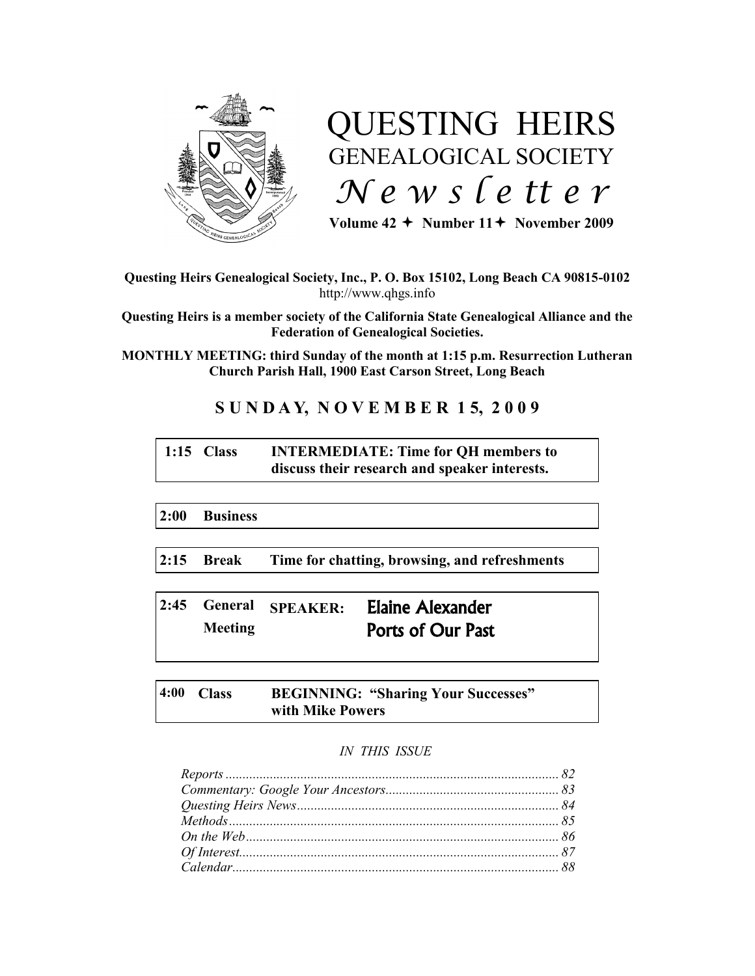

# QUESTING HEIRS GENEALOGICAL SOCIETY *N e w s l e tt e r*

Volume  $42 +$  Number  $11 +$  November 2009

## **Questing Heirs Genealogical Society, Inc., P. O. Box 15102, Long Beach CA 90815-0102** http://www.qhgs.info

**Questing Heirs is a member society of the California State Genealogical Alliance and the Federation of Genealogical Societies.**

**MONTHLY MEETING: third Sunday of the month at 1:15 p.m. Resurrection Lutheran Church Parish Hall, 1900 East Carson Street, Long Beach** 

# **S U N D A Y, N O V E M B E R 1 5, 2 0 0 9**

# **1:15 Class INTERMEDIATE: Time for QH members to discuss their research and speaker interests.**

**2:00 Business**

**2:15 Break Time for chatting, browsing, and refreshments**

**2:45 General SPEAKER:** Elaine Alexander **Meeting** Ports of Our Past

**4:00 Class BEGINNING: "Sharing Your Successes" with Mike Powers**

# *IN THIS ISSUE*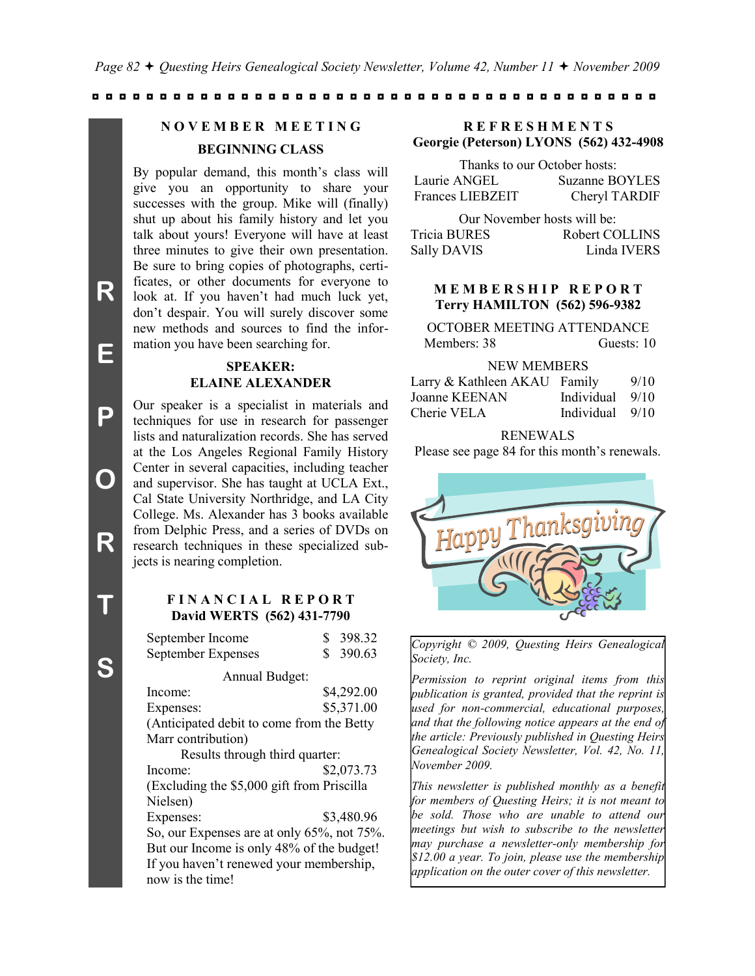# **N O V E M B E R M E E T I N G**

# **BEGINNING CLASS**

By popular demand, this month's class will give you an opportunity to share your successes with the group. Mike will (finally) shut up about his family history and let you talk about yours! Everyone will have at least three minutes to give their own presentation. Be sure to bring copies of photographs, certificates, or other documents for everyone to look at. If you haven't had much luck yet, don"t despair. You will surely discover some new methods and sources to find the information you have been searching for.

#### **SPEAKER: ELAINE ALEXANDER**

Our speaker is a specialist in materials and techniques for use in research for passenger lists and naturalization records. She has served at the Los Angeles Regional Family History Center in several capacities, including teacher and supervisor. She has taught at UCLA Ext., Cal State University Northridge, and LA City College. Ms. Alexander has 3 books available from Delphic Press, and a series of DVDs on research techniques in these specialized subjects is nearing completion.

#### **F I N A N C I A L R E P O R T David WERTS (562) 431-7790**

|                                | September Income                           | S | 398.32     |
|--------------------------------|--------------------------------------------|---|------------|
|                                | September Expenses                         |   | \$390.63   |
|                                | Annual Budget:                             |   |            |
|                                | Income:                                    |   | \$4,292.00 |
|                                | Expenses:                                  |   | \$5,371.00 |
|                                | (Anticipated debit to come from the Betty  |   |            |
|                                | Marr contribution)                         |   |            |
| Results through third quarter: |                                            |   |            |
|                                | Income:                                    |   | \$2,073.73 |
|                                | (Excluding the \$5,000 gift from Priscilla |   |            |
|                                | Nielsen)                                   |   |            |
|                                | Expenses:                                  |   | \$3,480.96 |
|                                | So, our Expenses are at only 65%, not 75%. |   |            |
|                                | But our Income is only 48% of the budget!  |   |            |
|                                | If you haven't renewed your membership,    |   |            |
|                                | now is the time!                           |   |            |

#### **Georgie (Peterson) LYONS (562) 432-4908 R E F R E S H M E N T S**

| Thanks to our October hosts: |                |  |
|------------------------------|----------------|--|
| Laurie ANGEL                 | Suzanne BOYLES |  |
| <b>Frances LIEBZEIT</b>      | Cheryl TARDIF  |  |

Our November hosts will be: Tricia BURES Robert COLLINS Sally DAVIS Linda IVERS

#### **M E M B E R S H I P R E P O R T Terry HAMILTON (562) 596-9382**

| OCTOBER MEETING ATTENDANCE |            |
|----------------------------|------------|
| Members: 38                | Guests: 10 |

#### NEW MEMBERS

| Larry & Kathleen AKAU Family |                   | 9/10 |
|------------------------------|-------------------|------|
| Joanne KEENAN                | Individual $9/10$ |      |
| Cherie VELA                  | Individual $9/10$ |      |

#### RENEWALS

Please see page 84 for this month"s renewals.



*Copyright © 2009, Questing Heirs Genealogical Society, Inc.*

*Permission to reprint original items from this publication is granted, provided that the reprint is used for non-commercial, educational purposes, and that the following notice appears at the end of the article: Previously published in Questing Heirs Genealogical Society Newsletter, Vol. 42, No. 11, November 2009.*

*This newsletter is published monthly as a benefit for members of Questing Heirs; it is not meant to be sold. Those who are unable to attend our meetings but wish to subscribe to the newsletter may purchase a newsletter-only membership for \$12.00 a year. To join, please use the membership application on the outer cover of this newsletter.*

**E**

**P**

**O**

**R**

**T**

**S**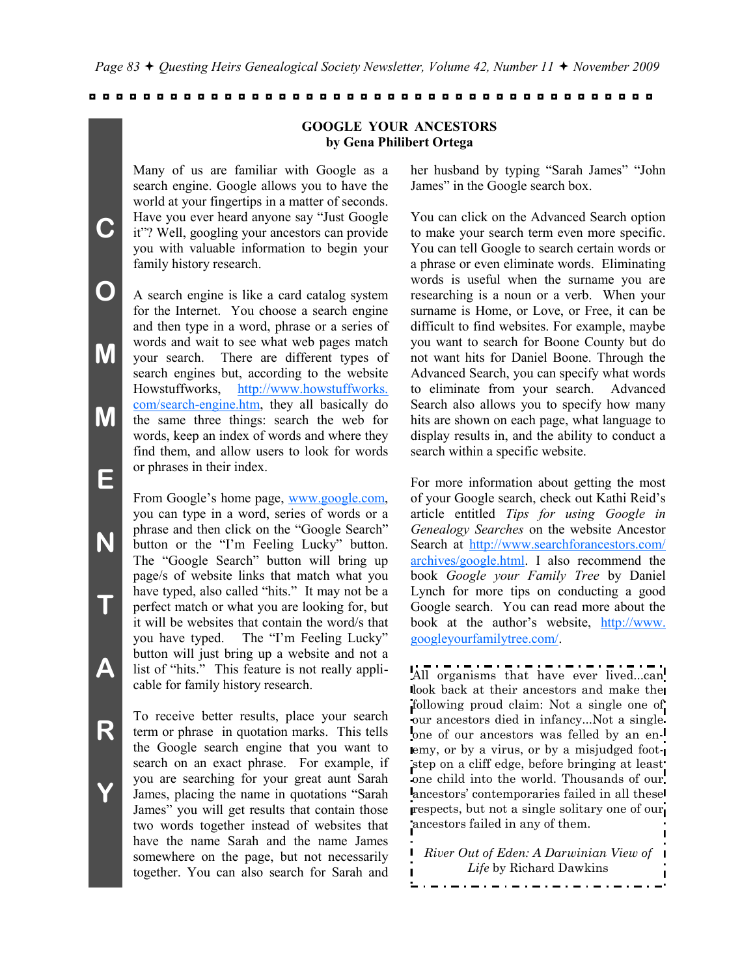**GOOGLE YOUR ANCESTORS by Gena Philibert Ortega**

Many of us are familiar with Google as a search engine. Google allows you to have the world at your fingertips in a matter of seconds. Have you ever heard anyone say "Just Google it"? Well, googling your ancestors can provide you with valuable information to begin your family history research.

A search engine is like a card catalog system for the Internet. You choose a search engine and then type in a word, phrase or a series of words and wait to see what web pages match your search. There are different types of search engines but, according to the website Howstuffworks, [http://www.howstuffworks.](http://www.howstuffworks.com/search-engine.htm)  [com/search-engine.htm,](http://www.howstuffworks.com/search-engine.htm) they all basically do the same three things: search the web for words, keep an index of words and where they find them, and allow users to look for words or phrases in their index.

From Google's home page, [www.google.com,](http://www.google.com/) you can type in a word, series of words or a phrase and then click on the "Google Search" button or the "I"m Feeling Lucky" button. The "Google Search" button will bring up page/s of website links that match what you have typed, also called "hits." It may not be a perfect match or what you are looking for, but it will be websites that contain the word/s that you have typed. The "I'm Feeling Lucky" button will just bring up a website and not a list of "hits." This feature is not really applicable for family history research.

To receive better results, place your search term or phrase in quotation marks. This tells the Google search engine that you want to search on an exact phrase. For example, if you are searching for your great aunt Sarah James, placing the name in quotations "Sarah James" you will get results that contain those two words together instead of websites that have the name Sarah and the name James somewhere on the page, but not necessarily together. You can also search for Sarah and

her husband by typing "Sarah James" "John James" in the Google search box.

You can click on the Advanced Search option to make your search term even more specific. You can tell Google to search certain words or a phrase or even eliminate words. Eliminating words is useful when the surname you are researching is a noun or a verb. When your surname is Home, or Love, or Free, it can be difficult to find websites. For example, maybe you want to search for Boone County but do not want hits for Daniel Boone. Through the Advanced Search, you can specify what words to eliminate from your search. Advanced Search also allows you to specify how many hits are shown on each page, what language to display results in, and the ability to conduct a search within a specific website.

For more information about getting the most of your Google search, check out Kathi Reid"s article entitled *Tips for using Google in Genealogy Searches* on the website Ancestor Search at [http://www.searchforancestors.com/](http://www.searchforancestors.com/archives/google.html) [archives/google.html.](http://www.searchforancestors.com/archives/google.html) I also recommend the book *Google your Family Tree* by Daniel Lynch for more tips on conducting a good Google search. You can read more about the book at the author"s website, [http://www.](http://www.googleyourfamilytree.com/)  [googleyourfamilytree.com/.](http://www.googleyourfamilytree.com/) 

All organisms that have ever lived...can look back at their ancestors and make the following proud claim: Not a single one of our ancestors died in infancy...Not a single one of our ancestors was felled by an enemy, or by a virus, or by a misjudged footstep on a cliff edge, before bringing at least one child into the world. Thousands of our ancestors' contemporaries failed in all these respects, but not a single solitary one of our ancestors failed in any of them.

*River Out of Eden: A Darwinian View of Life* by Richard Dawkins. . . . . . . . . . . . . . . . .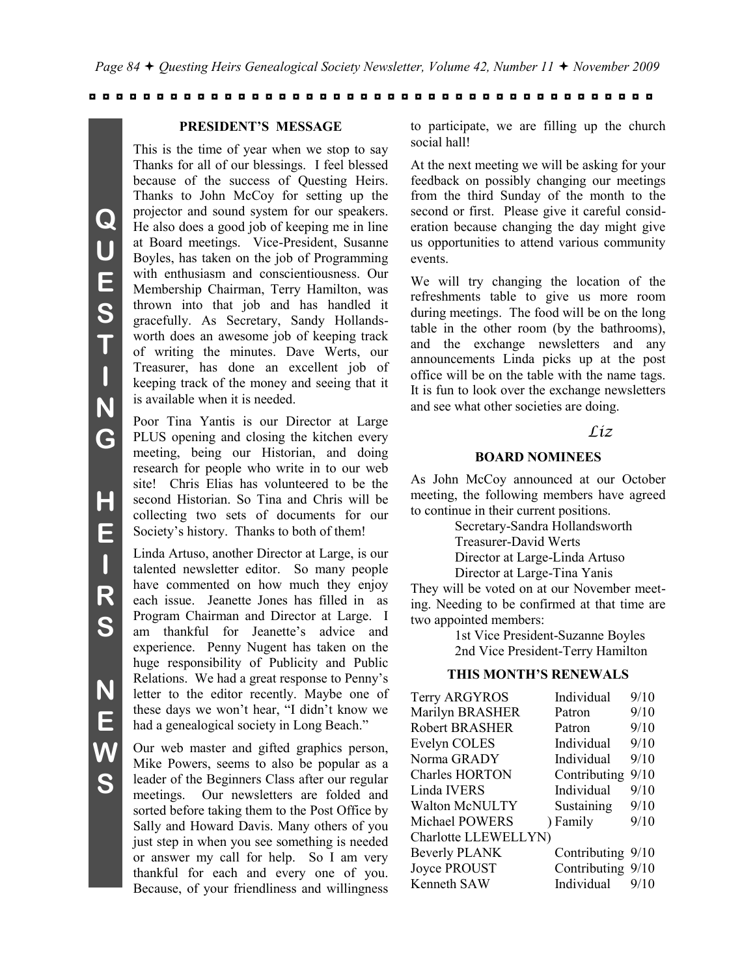#### **PRESIDENT'S MESSAGE**

This is the time of year when we stop to say Thanks for all of our blessings. I feel blessed because of the success of Questing Heirs. Thanks to John McCoy for setting up the projector and sound system for our speakers. He also does a good job of keeping me in line at Board meetings. Vice-President, Susanne Boyles, has taken on the job of Programming with enthusiasm and conscientiousness. Our Membership Chairman, Terry Hamilton, was thrown into that job and has handled it gracefully. As Secretary, Sandy Hollandsworth does an awesome job of keeping track of writing the minutes. Dave Werts, our Treasurer, has done an excellent job of keeping track of the money and seeing that it is available when it is needed.

Poor Tina Yantis is our Director at Large PLUS opening and closing the kitchen every meeting, being our Historian, and doing research for people who write in to our web site! Chris Elias has volunteered to be the second Historian. So Tina and Chris will be collecting two sets of documents for our Society's history. Thanks to both of them!

Linda Artuso, another Director at Large, is our talented newsletter editor. So many people have commented on how much they enjoy each issue. Jeanette Jones has filled in as Program Chairman and Director at Large. I am thankful for Jeanette's advice and experience. Penny Nugent has taken on the huge responsibility of Publicity and Public Relations. We had a great response to Penny"s letter to the editor recently. Maybe one of these days we won"t hear, "I didn"t know we had a genealogical society in Long Beach."

Our web master and gifted graphics person, Mike Powers, seems to also be popular as a leader of the Beginners Class after our regular meetings. Our newsletters are folded and sorted before taking them to the Post Office by Sally and Howard Davis. Many others of you just step in when you see something is needed or answer my call for help. So I am very thankful for each and every one of you. Because, of your friendliness and willingness

to participate, we are filling up the church social hall!

At the next meeting we will be asking for your feedback on possibly changing our meetings from the third Sunday of the month to the second or first. Please give it careful consideration because changing the day might give us opportunities to attend various community events.

We will try changing the location of the refreshments table to give us more room during meetings. The food will be on the long table in the other room (by the bathrooms), and the exchange newsletters and any announcements Linda picks up at the post office will be on the table with the name tags. It is fun to look over the exchange newsletters and see what other societies are doing.

#### *Liz*

#### **BOARD NOMINEES**

As John McCoy announced at our October meeting, the following members have agreed to continue in their current positions.

Secretary-Sandra Hollandsworth

Treasurer-David Werts

Director at Large-Linda Artuso

Director at Large-Tina Yanis

They will be voted on at our November meeting. Needing to be confirmed at that time are two appointed members:

> 1st Vice President-Suzanne Boyles 2nd Vice President-Terry Hamilton

#### **THIS MONTH'S RENEWALS**

| Terry ARGYROS         | Individual        | 9/10 |
|-----------------------|-------------------|------|
| Marilyn BRASHER       | Patron            | 9/10 |
| <b>Robert BRASHER</b> | Patron            | 9/10 |
| Evelyn COLES          | Individual        | 9/10 |
| Norma GRADY           | Individual        | 9/10 |
| <b>Charles HORTON</b> | Contributing      | 9/10 |
| <b>Linda IVERS</b>    | Individual        | 9/10 |
| <b>Walton McNULTY</b> | Sustaining        | 9/10 |
| Michael POWERS        | ) Family          | 9/10 |
| Charlotte LLEWELLYN)  |                   |      |
| <b>Beverly PLANK</b>  | Contributing 9/10 |      |
| Joyce PROUST          | Contributing 9/10 |      |
| Kenneth SAW           | Individual        | 9/10 |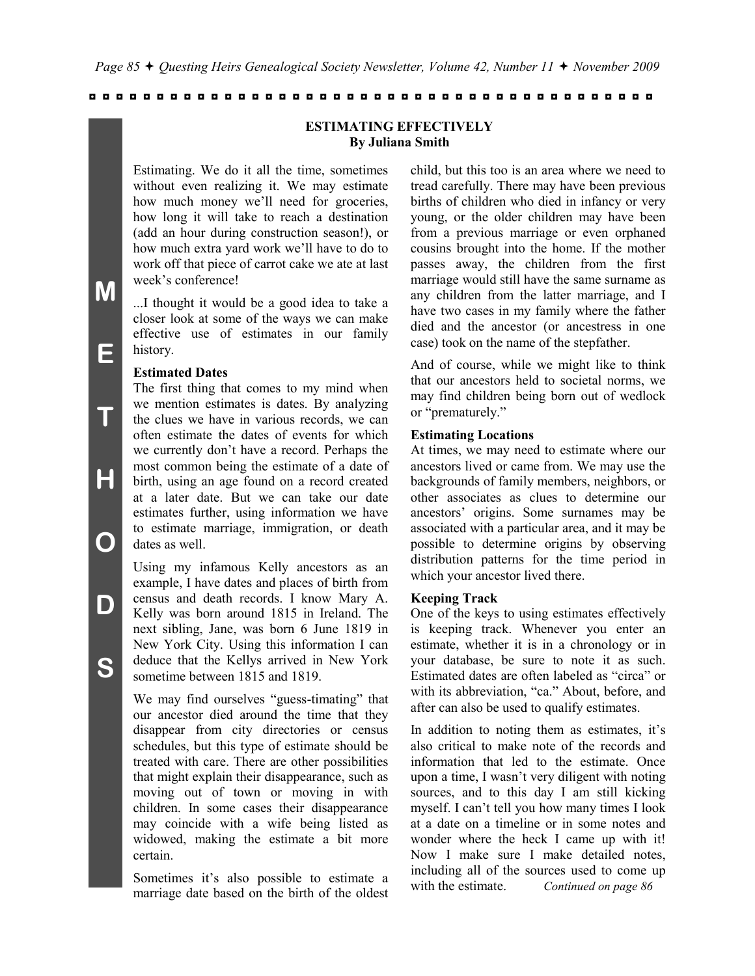#### **ESTIMATING EFFECTIVELY By Juliana Smith**

Estimating. We do it all the time, sometimes without even realizing it. We may estimate how much money we"ll need for groceries, how long it will take to reach a destination (add an hour during construction season!), or how much extra yard work we"ll have to do to work off that piece of carrot cake we ate at last week"s conference!

...I thought it would be a good idea to take a closer look at some of the ways we can make effective use of estimates in our family history.

#### **Estimated Dates**

The first thing that comes to my mind when we mention estimates is dates. By analyzing the clues we have in various records, we can often estimate the dates of events for which we currently don"t have a record. Perhaps the most common being the estimate of a date of birth, using an age found on a record created at a later date. But we can take our date estimates further, using information we have to estimate marriage, immigration, or death dates as well.

Using my infamous Kelly ancestors as an example, I have dates and places of birth from census and death records. I know Mary A. Kelly was born around 1815 in Ireland. The next sibling, Jane, was born 6 June 1819 in New York City. Using this information I can deduce that the Kellys arrived in New York sometime between 1815 and 1819.

We may find ourselves "guess-timating" that our ancestor died around the time that they disappear from city directories or census schedules, but this type of estimate should be treated with care. There are other possibilities that might explain their disappearance, such as moving out of town or moving in with children. In some cases their disappearance may coincide with a wife being listed as widowed, making the estimate a bit more certain.

Sometimes it's also possible to estimate a marriage date based on the birth of the oldest child, but this too is an area where we need to tread carefully. There may have been previous births of children who died in infancy or very young, or the older children may have been from a previous marriage or even orphaned cousins brought into the home. If the mother passes away, the children from the first marriage would still have the same surname as any children from the latter marriage, and I have two cases in my family where the father died and the ancestor (or ancestress in one case) took on the name of the stepfather.

And of course, while we might like to think that our ancestors held to societal norms, we may find children being born out of wedlock or "prematurely."

#### **Estimating Locations**

At times, we may need to estimate where our ancestors lived or came from. We may use the backgrounds of family members, neighbors, or other associates as clues to determine our ancestors" origins. Some surnames may be associated with a particular area, and it may be possible to determine origins by observing distribution patterns for the time period in which your ancestor lived there.

#### **Keeping Track**

One of the keys to using estimates effectively is keeping track. Whenever you enter an estimate, whether it is in a chronology or in your database, be sure to note it as such. Estimated dates are often labeled as "circa" or with its abbreviation, "ca." About, before, and after can also be used to qualify estimates.

In addition to noting them as estimates, it's also critical to make note of the records and information that led to the estimate. Once upon a time, I wasn"t very diligent with noting sources, and to this day I am still kicking myself. I can"t tell you how many times I look at a date on a timeline or in some notes and wonder where the heck I came up with it! Now I make sure I make detailed notes, including all of the sources used to come up with the estimate. *Continued on page 86*

**T**

**H**

**O**

**D**

**S**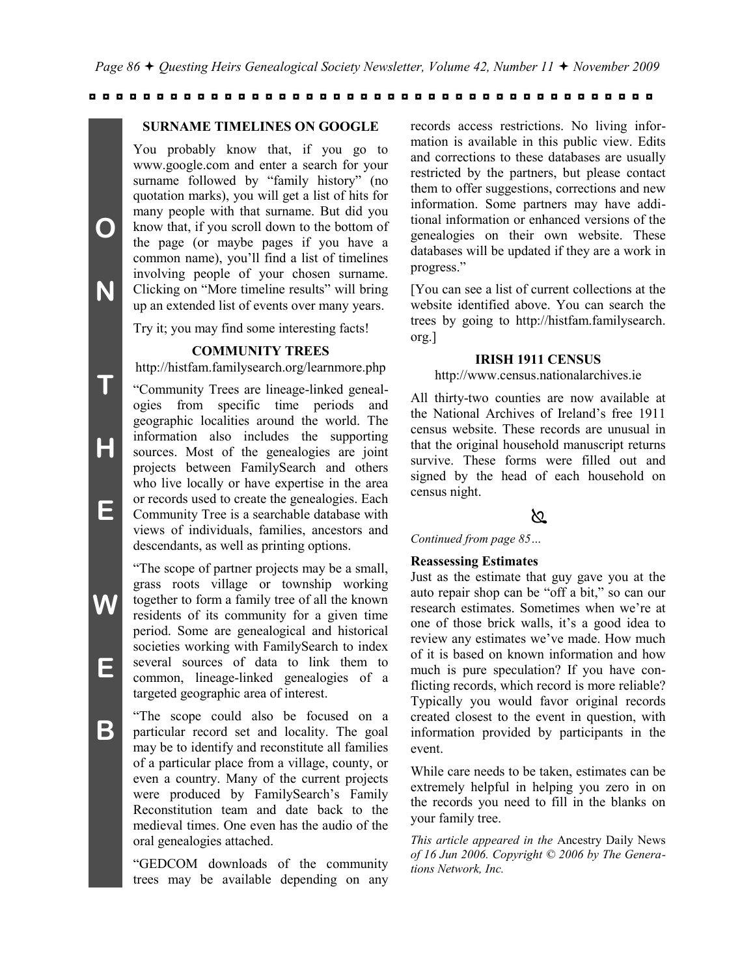#### **SURNAME TIMELINES ON GOOGLE**

You probably know that, if you go to www.google.com and enter a search for your surname followed by "family history" (no quotation marks), you will get a list of hits for many people with that surname. But did you know that, if you scroll down to the bottom of the page (or maybe pages if you have a common name), you"ll find a list of timelines involving people of your chosen surname. Clicking on "More timeline results" will bring up an extended list of events over many years.

**O**

**N**

**T**

**H**

**E**

**W**

**E**

**B**

Try it; you may find some interesting facts!

#### **COMMUNITY TREES**

http://histfam.familysearch.org/learnmore.php

"Community Trees are lineage-linked genealogies from specific time periods and geographic localities around the world. The information also includes the supporting sources. Most of the genealogies are joint projects between FamilySearch and others who live locally or have expertise in the area or records used to create the genealogies. Each Community Tree is a searchable database with views of individuals, families, ancestors and descendants, as well as printing options.

"The scope of partner projects may be a small, grass roots village or township working together to form a family tree of all the known residents of its community for a given time period. Some are genealogical and historical societies working with FamilySearch to index several sources of data to link them to common, lineage-linked genealogies of a targeted geographic area of interest.

"The scope could also be focused on a particular record set and locality. The goal may be to identify and reconstitute all families of a particular place from a village, county, or even a country. Many of the current projects were produced by FamilySearch"s Family Reconstitution team and date back to the medieval times. One even has the audio of the oral genealogies attached.

"GEDCOM downloads of the community trees may be available depending on any records access restrictions. No living information is available in this public view. Edits and corrections to these databases are usually restricted by the partners, but please contact them to offer suggestions, corrections and new information. Some partners may have additional information or enhanced versions of the genealogies on their own website. These databases will be updated if they are a work in progress."

[You can see a list of current collections at the website identified above. You can search the trees by going to http://histfam.familysearch. org.]

#### **IRISH 1911 CENSUS**

http://www.census.nationalarchives.ie

All thirty-two counties are now available at the National Archives of Ireland"s free 1911 census website. These records are unusual in that the original household manuscript returns survive. These forms were filled out and signed by the head of each household on census night.

#### ನಿ

*Continued from page 85…*

#### **Reassessing Estimates**

Just as the estimate that guy gave you at the auto repair shop can be "off a bit," so can our research estimates. Sometimes when we"re at one of those brick walls, it"s a good idea to review any estimates we"ve made. How much of it is based on known information and how much is pure speculation? If you have conflicting records, which record is more reliable? Typically you would favor original records created closest to the event in question, with information provided by participants in the event.

While care needs to be taken, estimates can be extremely helpful in helping you zero in on the records you need to fill in the blanks on your family tree.

*This article appeared in the* Ancestry Daily News *of 16 Jun 2006. Copyright © 2006 by The Generations Network, Inc.*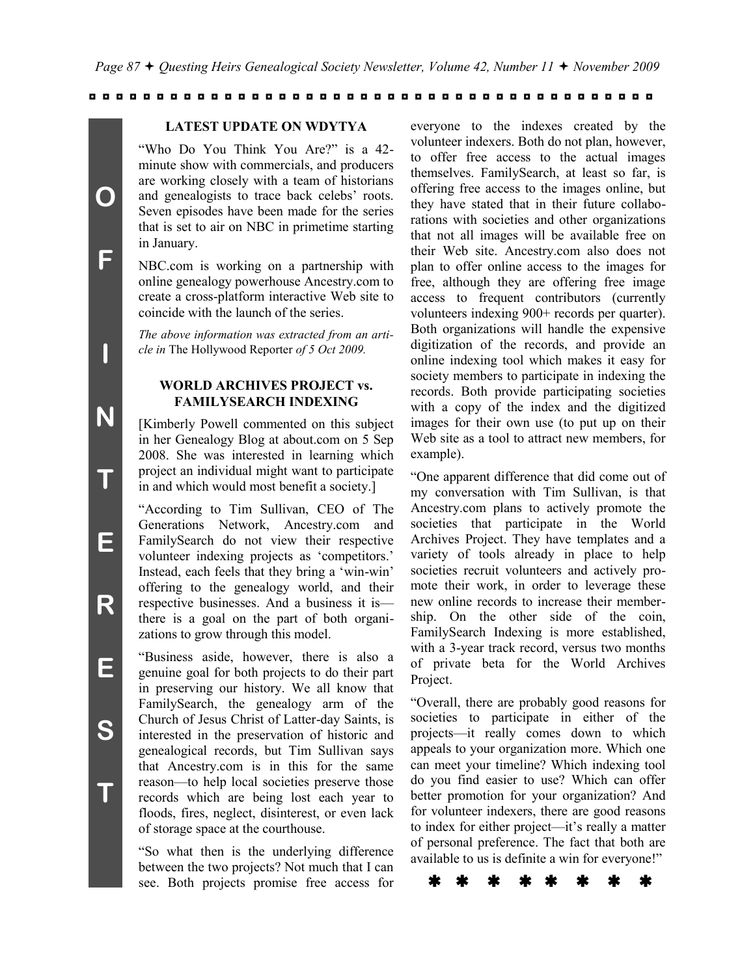#### **LATEST UPDATE ON WDYTYA**

"Who Do You Think You Are?" is a 42 minute show with commercials, and producers are working closely with a team of historians and genealogists to trace back celebs' roots. Seven episodes have been made for the series that is set to air on NBC in primetime starting in January.

**O**

**F**

**I**

**N**

**T**

**E**

**R**

**E**

**S**

**T**

NBC.com is working on a partnership with online genealogy powerhouse Ancestry.com to create a cross-platform interactive Web site to coincide with the launch of the series.

*The above information was extracted from an article in* The Hollywood Reporter *of 5 Oct 2009.*

#### **WORLD ARCHIVES PROJECT vs. FAMILYSEARCH INDEXING**

[Kimberly Powell commented on this subject in her Genealogy Blog at about.com on 5 Sep 2008. She was interested in learning which project an individual might want to participate in and which would most benefit a society.]

"According to Tim Sullivan, CEO of The Generations Network, Ancestry.com and FamilySearch do not view their respective volunteer indexing projects as "competitors." Instead, each feels that they bring a "win-win" offering to the genealogy world, and their respective businesses. And a business it is there is a goal on the part of both organizations to grow through this model.

"Business aside, however, there is also a genuine goal for both projects to do their part in preserving our history. We all know that FamilySearch, the genealogy arm of the Church of Jesus Christ of Latter-day Saints, is interested in the preservation of historic and genealogical records, but Tim Sullivan says that Ancestry.com is in this for the same reason—to help local societies preserve those records which are being lost each year to floods, fires, neglect, disinterest, or even lack of storage space at the courthouse.

"So what then is the underlying difference between the two projects? Not much that I can see. Both projects promise free access for everyone to the indexes created by the volunteer indexers. Both do not plan, however, to offer free access to the actual images themselves. FamilySearch, at least so far, is offering free access to the images online, but they have stated that in their future collaborations with societies and other organizations that not all images will be available free on their Web site. Ancestry.com also does not plan to offer online access to the images for free, although they are offering free image access to frequent contributors (currently volunteers indexing 900+ records per quarter). Both organizations will handle the expensive digitization of the records, and provide an online indexing tool which makes it easy for society members to participate in indexing the records. Both provide participating societies with a copy of the index and the digitized images for their own use (to put up on their Web site as a tool to attract new members, for example).

"One apparent difference that did come out of my conversation with Tim Sullivan, is that Ancestry.com plans to actively promote the societies that participate in the World Archives Project. They have templates and a variety of tools already in place to help societies recruit volunteers and actively promote their work, in order to leverage these new online records to increase their membership. On the other side of the coin, FamilySearch Indexing is more established, with a 3-year track record, versus two months of private beta for the World Archives Project.

"Overall, there are probably good reasons for societies to participate in either of the projects—it really comes down to which appeals to your organization more. Which one can meet your timeline? Which indexing tool do you find easier to use? Which can offer better promotion for your organization? And for volunteer indexers, there are good reasons to index for either project—it's really a matter of personal preference. The fact that both are available to us is definite a win for everyone!"

\* \* \* \* \* \* \* \*